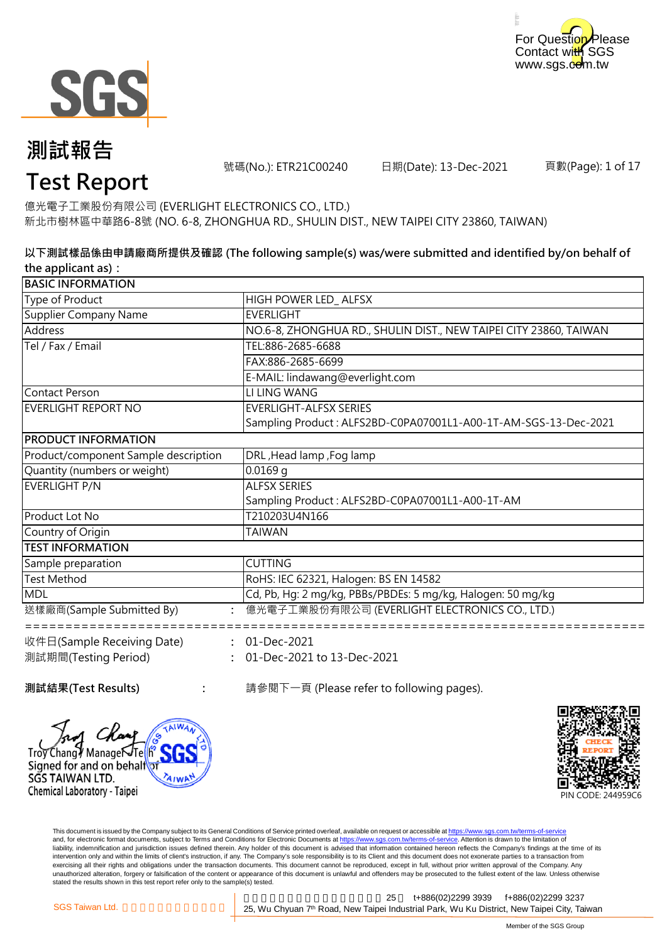



號碼(No.): ETR21C00240 日期(Date): 13-Dec-2021

頁數(Page): 1 of 17

# **Test Report**

億光電子工業股份有限公司 (EVERLIGHT ELECTRONICS CO., LTD.) 新北市樹林區中華路6-8號 (NO. 6-8, ZHONGHUA RD., SHULIN DIST., NEW TAIPEI CITY 23860, TAIWAN)

#### **以下測試樣品係由申請廠商所提供及確認 (The following sample(s) was/were submitted and identified by/on behalf of the applicant as):**

| <b>BASIC INFORMATION</b>             |                                                                   |
|--------------------------------------|-------------------------------------------------------------------|
| Type of Product                      | HIGH POWER LED_ALFSX                                              |
| <b>Supplier Company Name</b>         | <b>EVERLIGHT</b>                                                  |
| <b>Address</b>                       | NO.6-8, ZHONGHUA RD., SHULIN DIST., NEW TAIPEI CITY 23860, TAIWAN |
| Tel / Fax / Email                    | TEL:886-2685-6688                                                 |
|                                      | FAX:886-2685-6699                                                 |
|                                      | E-MAIL: lindawang@everlight.com                                   |
| <b>Contact Person</b>                | LI LING WANG                                                      |
| <b>EVERLIGHT REPORT NO</b>           | <b>EVERLIGHT-ALFSX SERIES</b>                                     |
|                                      | Sampling Product: ALFS2BD-C0PA07001L1-A00-1T-AM-SGS-13-Dec-2021   |
| <b>PRODUCT INFORMATION</b>           |                                                                   |
| Product/component Sample description | DRL, Head lamp, Fog lamp                                          |
| Quantity (numbers or weight)         | $0.0169$ g                                                        |
| <b>EVERLIGHT P/N</b>                 | <b>ALFSX SERIES</b>                                               |
|                                      | Sampling Product: ALFS2BD-C0PA07001L1-A00-1T-AM                   |
| Product Lot No                       | T210203U4N166                                                     |
| Country of Origin                    | <b>TAIWAN</b>                                                     |
| <b>TEST INFORMATION</b>              |                                                                   |
| Sample preparation                   | <b>CUTTING</b>                                                    |
| <b>Test Method</b>                   | RoHS: IEC 62321, Halogen: BS EN 14582                             |
| <b>MDL</b>                           | Cd, Pb, Hg: 2 mg/kg, PBBs/PBDEs: 5 mg/kg, Halogen: 50 mg/kg       |
| 送樣廠商(Sample Submitted By)            | 億光電子工業股份有限公司 (EVERLIGHT ELECTRONICS CO., LTD.)                    |
| 收件日(Sample Receiving Date)           | $: 01 - Dec-2021$                                                 |
| 測試期間(Testing Period)                 | 01-Dec-2021 to 13-Dec-2021                                        |
|                                      |                                                                   |

SGS TAIWAN LTD.

Chemical Laboratory - Taipei

∕Chang∛ ManageÑTe Signed for and on behalf

**AIW** 

**測試結果(Test Results) :** 請參閱下一頁 (Please refer to following pages).



This document is issued by the Company subject to its General Conditions of Service printed overleaf, available on request or accessible at <u>https://www.sgs.com.tw/terms-of-service</u><br>and, for electronic format documents, su liability, indemnification and jurisdiction issues defined therein. Any holder of this document is advised that information contained hereon reflects the Company's findings at the time of its intervention only and within the limits of client's instruction, if any. The Company's sole responsibility is to its Client and this document does not exonerate parties to a transaction from exercising all their rights and obligations under the transaction documents. This document cannot be reproduced, except in full, without prior written approval of the Company. Any<br>unauthorized alteration, forgery or falsif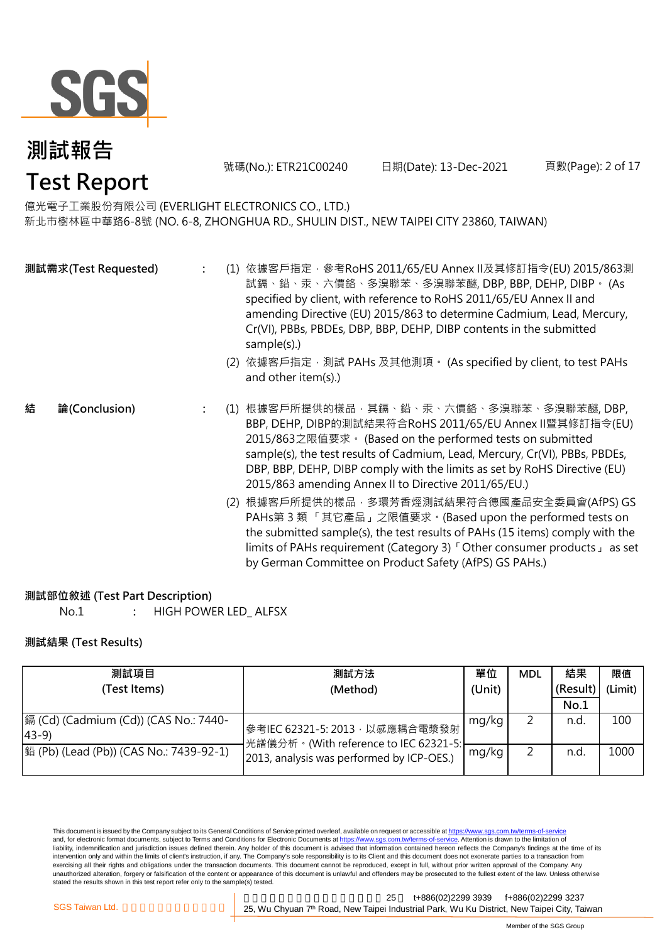

號碼(No.): ETR21C00240 日期(Date): 13-Dec-2021 頁數(Page): 2 of 17

億光電子工業股份有限公司 (EVERLIGHT ELECTRONICS CO., LTD.)

新北市樹林區中華路6-8號 (NO. 6-8, ZHONGHUA RD., SHULIN DIST., NEW TAIPEI CITY 23860, TAIWAN)

|   | 測試需求(Test Requested) |  | (1) 依據客戶指定,參考RoHS 2011/65/EU Annex II及其修訂指令(EU) 2015/863測<br>試鎘、鉛、汞、六價鉻、多溴聯苯、多溴聯苯醚, DBP, BBP, DEHP, DIBP。 (As<br>specified by client, with reference to RoHS 2011/65/EU Annex II and<br>amending Directive (EU) 2015/863 to determine Cadmium, Lead, Mercury,<br>Cr(VI), PBBs, PBDEs, DBP, BBP, DEHP, DIBP contents in the submitted<br>sample(s).)<br>(2) 依據客戶指定, 測試 PAHs 及其他測項。 (As specified by client, to test PAHs<br>and other item(s).) |
|---|----------------------|--|------------------------------------------------------------------------------------------------------------------------------------------------------------------------------------------------------------------------------------------------------------------------------------------------------------------------------------------------------------------------------------------------------------------------------------------------|
| 結 | 論(Conclusion)        |  | (1) 根據客戶所提供的樣品‧其鎘﹑鉛﹑汞﹑六價鉻﹑多溴聯苯﹑多溴聯苯醚, DBP,<br>BBP, DEHP, DIBP的測試結果符合RoHS 2011/65/EU Annex II暨其修訂指令(EU)<br>2015/863之限值要求。 (Based on the performed tests on submitted<br>sample(s), the test results of Cadmium, Lead, Mercury, Cr(VI), PBBs, PBDEs,<br>DBP, BBP, DEHP, DIBP comply with the limits as set by RoHS Directive (EU)<br>2015/863 amending Annex II to Directive 2011/65/EU.)                                                        |
|   |                      |  | (2) 根據客戶所提供的樣品,多環芳香烴測試結果符合德國產品安全委員會(AfPS) GS<br>PAHs第3類「其它產品」之限值要求。(Based upon the performed tests on<br>the submitted sample(s), the test results of PAHs (15 items) comply with the<br>limits of PAHs requirement (Category 3) <sup>F</sup> Other consumer products as set                                                                                                                                                                   |

#### **測試部位敘述 (Test Part Description)**

No.1 **:** HIGH POWER LED\_ ALFSX

#### **測試結果 (Test Results)**

| 測試項目                                                    | 測試方法                                                                    | 單位    | <b>MDL</b> | 結果       | 限值      |
|---------------------------------------------------------|-------------------------------------------------------------------------|-------|------------|----------|---------|
| (Test Items)                                            | (Unit)<br>(Method)                                                      |       |            | (Result) | (Limit) |
|                                                         |                                                                         |       |            | No.1     |         |
| 鎘 (Cd) (Cadmium (Cd)) (CAS No.: 7440-<br>$ 43-9\rangle$ | 參考IEC 62321-5: 2013, 以感應耦合電漿發射<br>光譜儀分析。(With reference to IEC 62321-5: | mg/kg |            | n.d.     | 100     |
| 銟 (Pb) (Lead (Pb)) (CAS No.: 7439-92-1)                 | 2013, analysis was performed by ICP-OES.)                               | mg/kg |            | n.d      | 1000    |

This document is issued by the Company subject to its General Conditions of Service printed overleaf, available on request or accessible at <u>https://www.sgs.com.tw/terms-of-service</u><br>and, for electronic format documents, su liability, indemnification and jurisdiction issues defined therein. Any holder of this document is advised that information contained hereon reflects the Company's findings at the time of its intervention only and within the limits of client's instruction, if any. The Company's sole responsibility is to its Client and this document does not exonerate parties to a transaction from exercising all their rights and obligations under the transaction documents. This document cannot be reproduced, except in full, without prior written approval of the Company. Any<br>unauthorized alteration, forgery or falsif

新北市五股區新北產業園區五權七 25 t+886(02)2299 3939 f+886(02)2299 3237 SGS Taiwan Ltd. **Exercise 25, Wu Chyuan 7<sup>th</sup> Road, New Taipei Industrial Park, Wu Ku District, New Taipei City, Taiwan** 

by German Committee on Product Safety (AfPS) GS PAHs.)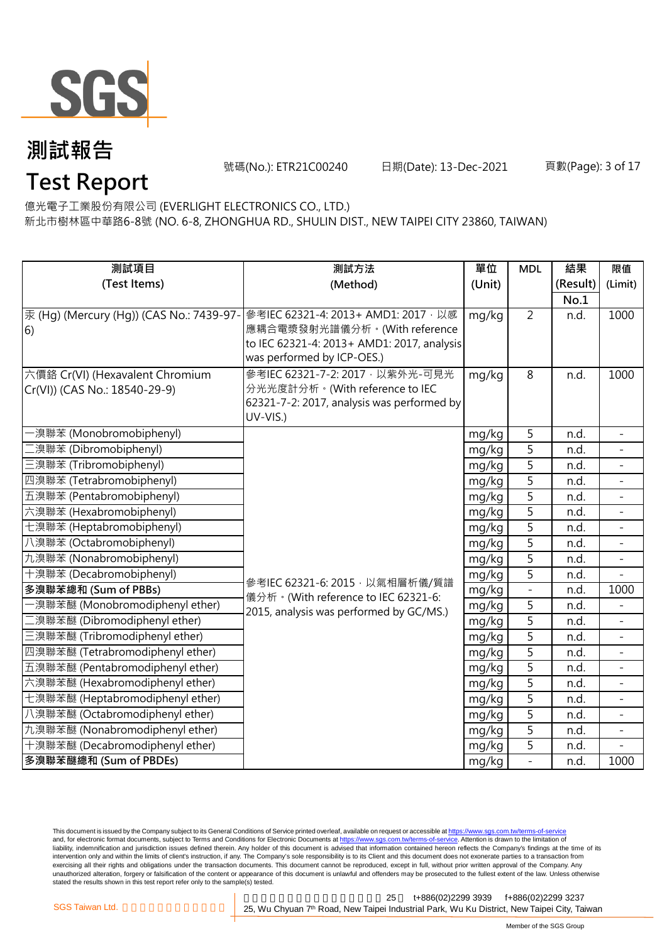

**Test Report**

號碼(No.): ETR21C00240 日期(Date): 13-Dec-2021 頁數(Page): 3 of 17

億光電子工業股份有限公司 (EVERLIGHT ELECTRONICS CO., LTD.)

新北市樹林區中華路6-8號 (NO. 6-8, ZHONGHUA RD., SHULIN DIST., NEW TAIPEI CITY 23860, TAIWAN)

| 測試項目                                     | 測試方法                                                                         | 單位     | <b>MDL</b>               | 結果       | 限值                       |
|------------------------------------------|------------------------------------------------------------------------------|--------|--------------------------|----------|--------------------------|
| (Test Items)                             | (Method)                                                                     | (Unit) |                          | (Result) | (Limit)                  |
|                                          |                                                                              |        |                          | No.1     |                          |
| 汞 (Hg) (Mercury (Hg)) (CAS No.: 7439-97- | 參考IEC 62321-4: 2013+ AMD1: 2017, 以感                                          | mg/kg  | $\overline{2}$           | n.d.     | 1000                     |
| 6)                                       | 應耦合電漿發射光譜儀分析。(With reference                                                 |        |                          |          |                          |
|                                          | to IEC 62321-4: 2013+ AMD1: 2017, analysis                                   |        |                          |          |                          |
|                                          | was performed by ICP-OES.)                                                   |        |                          |          |                          |
| 六價鉻 Cr(VI) (Hexavalent Chromium          | 參考IEC 62321-7-2: 2017 · 以紫外光-可見光                                             | mg/kg  | 8                        | n.d.     | 1000                     |
| Cr(VI)) (CAS No.: 18540-29-9)            | 分光光度計分析。(With reference to IEC<br>62321-7-2: 2017, analysis was performed by |        |                          |          |                          |
|                                          | UV-VIS.)                                                                     |        |                          |          |                          |
| -溴聯苯 (Monobromobiphenyl)                 |                                                                              | mg/kg  | 5                        | n.d.     | $\overline{\phantom{a}}$ |
| 二溴聯苯 (Dibromobiphenyl)                   |                                                                              | mg/kg  | 5                        | n.d.     |                          |
| 三溴聯苯 (Tribromobiphenyl)                  |                                                                              | mg/kg  | 5                        | n.d.     |                          |
| 四溴聯苯 (Tetrabromobiphenyl)                |                                                                              | mg/kg  | $\overline{5}$           | n.d.     | $\overline{\phantom{a}}$ |
| 五溴聯苯 (Pentabromobiphenyl)                |                                                                              | mg/kg  | $\overline{5}$           | n.d.     |                          |
| 六溴聯苯 (Hexabromobiphenyl)                 |                                                                              | mg/kg  | $\overline{5}$           | n.d.     |                          |
| 七溴聯苯 (Heptabromobiphenyl)                |                                                                              | mg/kg  | $\overline{5}$           | n.d.     | $\overline{\phantom{a}}$ |
| 八溴聯苯 (Octabromobiphenyl)                 |                                                                              | mg/kg  | $\overline{5}$           | n.d.     | $\equiv$                 |
| 九溴聯苯 (Nonabromobiphenyl)                 |                                                                              | mg/kg  | 5                        | n.d.     |                          |
| 十溴聯苯 (Decabromobiphenyl)                 | 參考IEC 62321-6: 2015, 以氣相層析儀/質譜                                               | mg/kg  | 5                        | n.d.     |                          |
| 多溴聯苯總和 (Sum of PBBs)                     | 儀分析。(With reference to IEC 62321-6:                                          | mg/kg  | $\overline{\phantom{0}}$ | n.d.     | 1000                     |
| -溴聯苯醚 (Monobromodiphenyl ether)          | 2015, analysis was performed by GC/MS.)                                      | mg/kg  | 5                        | n.d.     |                          |
| 二溴聯苯醚 (Dibromodiphenyl ether)            |                                                                              | mg/kg  | $\overline{5}$           | n.d.     |                          |
| 三溴聯苯醚 (Tribromodiphenyl ether)           |                                                                              | mg/kg  | 5                        | n.d.     |                          |
| 四溴聯苯醚 (Tetrabromodiphenyl ether)         |                                                                              | mg/kg  | $\overline{5}$           | n.d.     | $\mathbb{L}^2$           |
| 五溴聯苯醚 (Pentabromodiphenyl ether)         |                                                                              | mg/kg  | 5                        | n.d.     |                          |
| 六溴聯苯醚 (Hexabromodiphenyl ether)          |                                                                              | mg/kg  | 5                        | n.d.     |                          |
| 七溴聯苯醚 (Heptabromodiphenyl ether)         |                                                                              | mg/kg  | 5                        | n.d.     | $\overline{a}$           |
| 八溴聯苯醚 (Octabromodiphenyl ether)          |                                                                              | mg/kg  | 5                        | n.d.     |                          |
| 九溴聯苯醚 (Nonabromodiphenyl ether)          |                                                                              | mg/kg  | $\overline{5}$           | n.d.     |                          |
| 十溴聯苯醚 (Decabromodiphenyl ether)          |                                                                              | mg/kg  | 5                        | n.d.     |                          |
| 多溴聯苯醚總和 (Sum of PBDEs)                   |                                                                              | mg/kg  | $\overline{a}$           | n.d.     | 1000                     |

This document is issued by the Company subject to its General Conditions of Service printed overleaf, available on request or accessible at <u>https://www.sgs.com.tw/terms-of-service</u><br>and, for electronic format documents, su liability, indemnification and jurisdiction issues defined therein. Any holder of this document is advised that information contained hereon reflects the Company's findings at the time of its intervention only and within the limits of client's instruction, if any. The Company's sole responsibility is to its Client and this document does not exonerate parties to a transaction from exercising all their rights and obligations under the transaction documents. This document cannot be reproduced, except in full, without prior written approval of the Company. Any<br>unauthorized alteration, forgery or falsif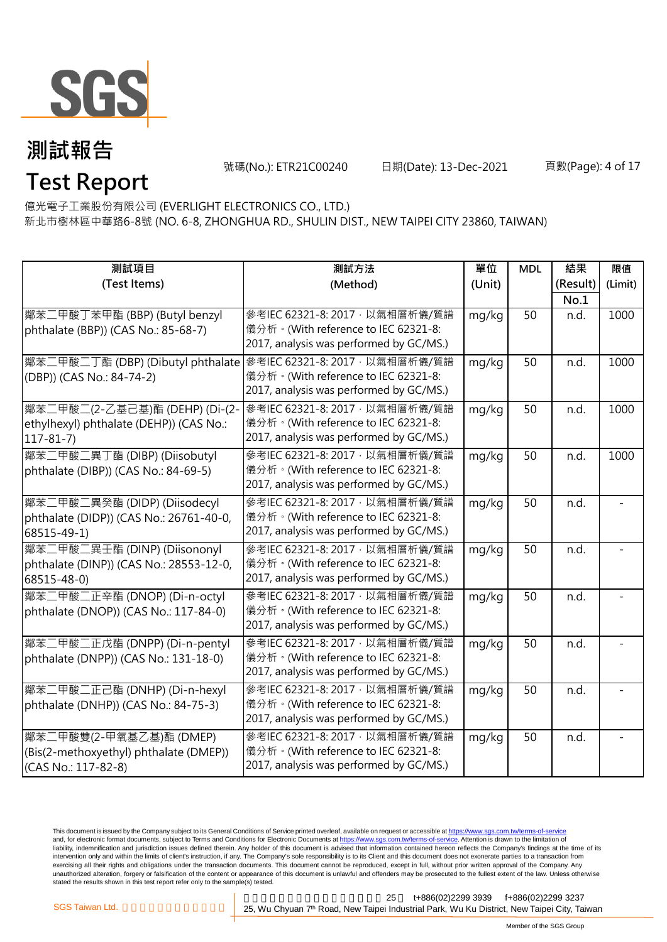

號碼(No.): ETR21C00240 日期(Date): 13-Dec-2021 頁數(Page): 4 of 17

億光電子工業股份有限公司 (EVERLIGHT ELECTRONICS CO., LTD.) **Test Report**

新北市樹林區中華路6-8號 (NO. 6-8, ZHONGHUA RD., SHULIN DIST., NEW TAIPEI CITY 23860, TAIWAN)

| 測試項目                                                                 | 測試方法                                                                           | 單位     | <b>MDL</b> | 結果       | 限值      |
|----------------------------------------------------------------------|--------------------------------------------------------------------------------|--------|------------|----------|---------|
| (Test Items)                                                         | (Method)                                                                       | (Unit) |            | (Result) | (Limit) |
|                                                                      |                                                                                |        |            | No.1     |         |
| 鄰苯二甲酸丁苯甲酯 (BBP) (Butyl benzyl<br>phthalate (BBP)) (CAS No.: 85-68-7) | 參考IEC 62321-8: 2017, 以氣相層析儀/質譜<br>儀分析。(With reference to IEC 62321-8:          | mg/kg  | 50         | n.d.     | 1000    |
|                                                                      | 2017, analysis was performed by GC/MS.)                                        |        |            |          |         |
| 鄰苯二甲酸二丁酯 (DBP) (Dibutyl phthalate   參考IEC 62321-8: 2017 · 以氣相層析儀/質譜  |                                                                                | mg/kg  | 50         | n.d.     | 1000    |
| (DBP)) (CAS No.: 84-74-2)                                            | 儀分析。(With reference to IEC 62321-8:<br>2017, analysis was performed by GC/MS.) |        |            |          |         |
| 鄰苯二甲酸二(2-乙基己基)酯 (DEHP) (Di-(2-                                       | 參考IEC 62321-8: 2017, 以氣相層析儀/質譜                                                 | mg/kg  | 50         | n.d.     | 1000    |
| ethylhexyl) phthalate (DEHP)) (CAS No.:                              | 儀分析。(With reference to IEC 62321-8:                                            |        |            |          |         |
| $117 - 81 - 7$                                                       | 2017, analysis was performed by GC/MS.)                                        |        |            |          |         |
| 鄰苯二甲酸二異丁酯 (DIBP) (Diisobutyl                                         | 參考IEC 62321-8: 2017, 以氣相層析儀/質譜                                                 | mg/kg  | 50         | n.d.     | 1000    |
| phthalate (DIBP)) (CAS No.: 84-69-5)                                 | 儀分析。(With reference to IEC 62321-8:<br>2017, analysis was performed by GC/MS.) |        |            |          |         |
|                                                                      |                                                                                |        |            |          |         |
| 鄰苯二甲酸二異癸酯 (DIDP) (Diisodecyl                                         | 參考IEC 62321-8: 2017, 以氣相層析儀/質譜<br>儀分析。(With reference to IEC 62321-8:          | mg/kg  | 50         | n.d.     |         |
| phthalate (DIDP)) (CAS No.: 26761-40-0,<br>68515-49-1)               | 2017, analysis was performed by GC/MS.)                                        |        |            |          |         |
| 鄰苯二甲酸二異壬酯 (DINP) (Diisononyl                                         | 參考IEC 62321-8: 2017, 以氣相層析儀/質譜                                                 | mg/kg  | 50         | n.d.     |         |
| phthalate (DINP)) (CAS No.: 28553-12-0,                              | 儀分析。(With reference to IEC 62321-8:                                            |        |            |          |         |
| 68515-48-0)                                                          | 2017, analysis was performed by GC/MS.)                                        |        |            |          |         |
| 鄰苯二甲酸二正辛酯 (DNOP) (Di-n-octyl                                         | 參考IEC 62321-8: 2017, 以氣相層析儀/質譜                                                 | mg/kg  | 50         | n.d.     |         |
| phthalate (DNOP)) (CAS No.: 117-84-0)                                | 儀分析。(With reference to IEC 62321-8:                                            |        |            |          |         |
|                                                                      | 2017, analysis was performed by GC/MS.)                                        |        |            |          |         |
| 鄰苯二甲酸二正戊酯 (DNPP) (Di-n-pentyl                                        | 參考IEC 62321-8: 2017, 以氣相層析儀/質譜                                                 | mg/kg  | 50         | n.d.     |         |
| phthalate (DNPP)) (CAS No.: 131-18-0)                                | 儀分析。(With reference to IEC 62321-8:                                            |        |            |          |         |
|                                                                      | 2017, analysis was performed by GC/MS.)                                        |        |            |          |         |
| 鄰苯二甲酸二正己酯 (DNHP) (Di-n-hexyl                                         | 參考IEC 62321-8: 2017, 以氣相層析儀/質譜                                                 | mg/kg  | 50         | n.d.     |         |
| phthalate (DNHP)) (CAS No.: 84-75-3)                                 | 儀分析。(With reference to IEC 62321-8:                                            |        |            |          |         |
|                                                                      | 2017, analysis was performed by GC/MS.)                                        |        |            |          |         |
| 鄰苯二甲酸雙(2-甲氧基乙基)酯 (DMEP)                                              | 參考IEC 62321-8: 2017, 以氣相層析儀/質譜                                                 | mg/kg  | 50         | n.d.     |         |
| (Bis(2-methoxyethyl) phthalate (DMEP))                               | 儀分析。(With reference to IEC 62321-8:<br>2017, analysis was performed by GC/MS.) |        |            |          |         |
| (CAS No.: 117-82-8)                                                  |                                                                                |        |            |          |         |

This document is issued by the Company subject to its General Conditions of Service printed overleaf, available on request or accessible at <u>https://www.sgs.com.tw/terms-of-service</u><br>and, for electronic format documents, su liability, indemnification and jurisdiction issues defined therein. Any holder of this document is advised that information contained hereon reflects the Company's findings at the time of its intervention only and within the limits of client's instruction, if any. The Company's sole responsibility is to its Client and this document does not exonerate parties to a transaction from exercising all their rights and obligations under the transaction documents. This document cannot be reproduced, except in full, without prior written approval of the Company. Any<br>unauthorized alteration, forgery or falsif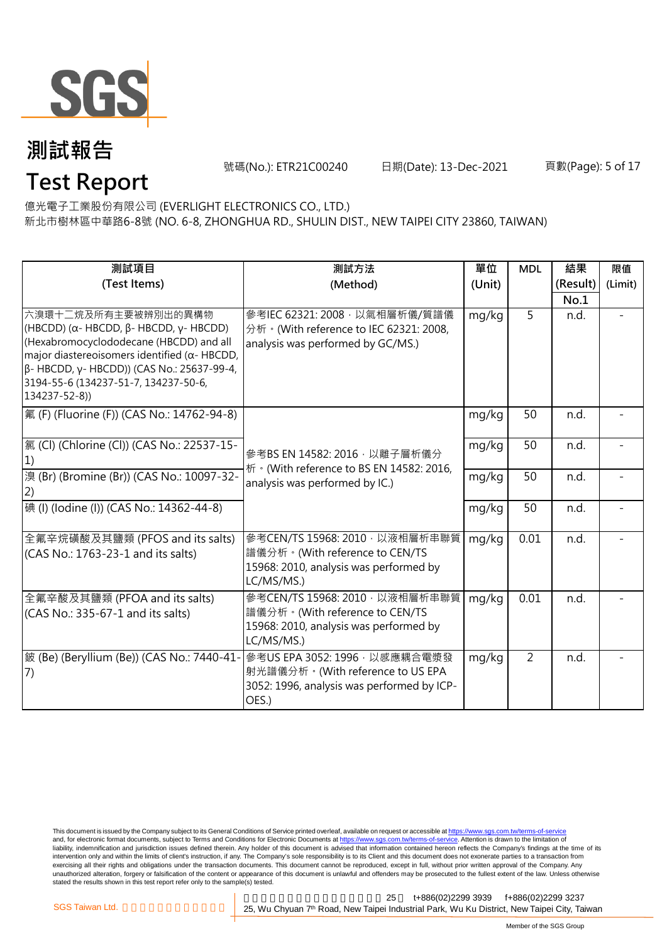

號碼(No.): ETR21C00240 日期(Date): 13-Dec-2021 頁數(Page): 5 of 17

## **Test Report**

億光電子工業股份有限公司 (EVERLIGHT ELECTRONICS CO., LTD.) 新北市樹林區中華路6-8號 (NO. 6-8, ZHONGHUA RD., SHULIN DIST., NEW TAIPEI CITY 23860, TAIWAN)

| 測試項目                                                                                                                                                                                                                                                                                             | 測試方法                                                                                                                     | 單位     | <b>MDL</b>     | 結果       | 限值      |
|--------------------------------------------------------------------------------------------------------------------------------------------------------------------------------------------------------------------------------------------------------------------------------------------------|--------------------------------------------------------------------------------------------------------------------------|--------|----------------|----------|---------|
| (Test Items)                                                                                                                                                                                                                                                                                     | (Method)                                                                                                                 | (Unit) |                | (Result) | (Limit) |
|                                                                                                                                                                                                                                                                                                  |                                                                                                                          |        |                | No.1     |         |
| 六溴環十二烷及所有主要被辨別出的異構物<br>(HBCDD) ( $\alpha$ - HBCDD, $\beta$ - HBCDD, $\gamma$ - HBCDD)<br>(Hexabromocyclododecane (HBCDD) and all<br>major diastereoisomers identified ( $\alpha$ - HBCDD,<br>β- HBCDD, γ- HBCDD)) (CAS No.: 25637-99-4,<br>3194-55-6 (134237-51-7, 134237-50-6,<br>134237-52-8)) | 參考IEC 62321: 2008 · 以氣相層析儀/質譜儀<br>分析 · (With reference to IEC 62321: 2008,<br>analysis was performed by GC/MS.)          | mg/kg  | 5              | n.d.     |         |
| 氟 (F) (Fluorine (F)) (CAS No.: 14762-94-8)                                                                                                                                                                                                                                                       |                                                                                                                          | mg/kg  | 50             | n.d.     |         |
| [氯 (Cl) (Chlorine (Cl)) (CAS No.: 22537-15-                                                                                                                                                                                                                                                      | 參考BS EN 14582: 2016, 以離子層析儀分<br>析 · (With reference to BS EN 14582: 2016,                                                | mg/kg  | 50             | n.d.     |         |
| 溴 (Br) (Bromine (Br)) (CAS No.: 10097-32-<br>(2)                                                                                                                                                                                                                                                 | analysis was performed by IC.)                                                                                           | mg/kg  | 50             | n.d.     |         |
| 碘 (I) (lodine (I)) (CAS No.: 14362-44-8)                                                                                                                                                                                                                                                         |                                                                                                                          | mg/kg  | 50             | n.d.     |         |
| 全氟辛烷磺酸及其鹽類 (PFOS and its salts)<br>(CAS No.: 1763-23-1 and its salts)                                                                                                                                                                                                                            | 參考CEN/TS 15968: 2010, 以液相層析串聯質<br>譜儀分析。(With reference to CEN/TS<br>15968: 2010, analysis was performed by<br>LC/MS/MS.) | mg/kg  | 0.01           | n.d.     |         |
| 全氟辛酸及其鹽類 (PFOA and its salts)<br>(CAS No.: 335-67-1 and its salts)                                                                                                                                                                                                                               | 參考CEN/TS 15968: 2010, 以液相層析串聯質<br>譜儀分析。(With reference to CEN/TS<br>15968: 2010, analysis was performed by<br>LC/MS/MS.) | mg/kg  | 0.01           | n.d.     |         |
| 皴 (Be) (Beryllium (Be)) (CAS No.: 7440-41-<br>(7)                                                                                                                                                                                                                                                | 參考US EPA 3052: 1996, 以感應耦合電漿發<br>射光譜儀分析。(With reference to US EPA<br>3052: 1996, analysis was performed by ICP-<br>OES.) | mg/kg  | $\overline{2}$ | n.d.     |         |

This document is issued by the Company subject to its General Conditions of Service printed overleaf, available on request or accessible at <u>https://www.sgs.com.tw/terms-of-service</u><br>and, for electronic format documents, su liability, indemnification and jurisdiction issues defined therein. Any holder of this document is advised that information contained hereon reflects the Company's findings at the time of its intervention only and within the limits of client's instruction, if any. The Company's sole responsibility is to its Client and this document does not exonerate parties to a transaction from exercising all their rights and obligations under the transaction documents. This document cannot be reproduced, except in full, without prior written approval of the Company. Any<br>unauthorized alteration, forgery or falsif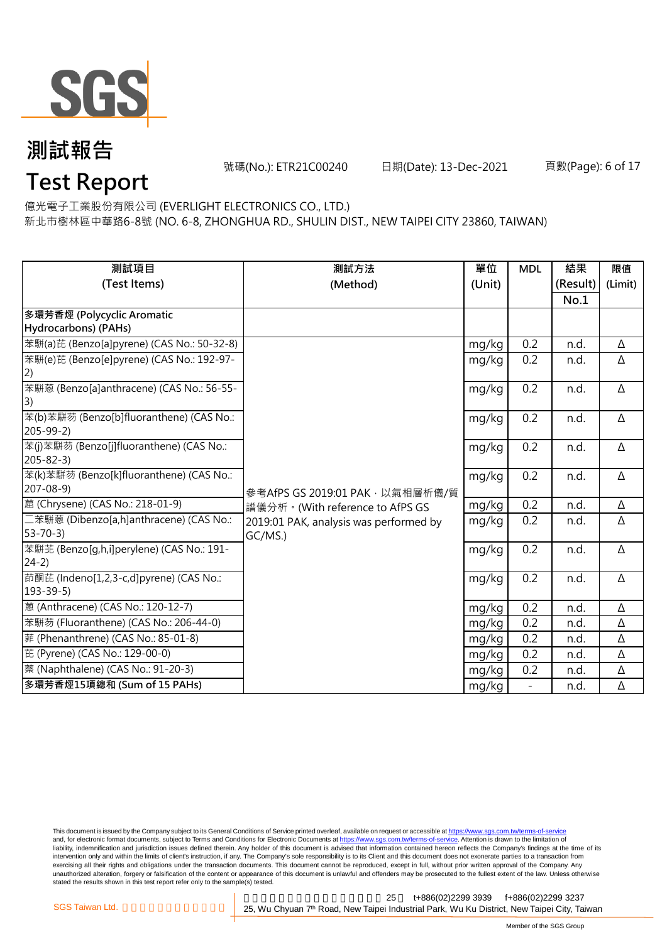

號碼(No.): ETR21C00240 日期(Date): 13-Dec-2021 頁數(Page): 6 of 17

## **Test Report**

億光電子工業股份有限公司 (EVERLIGHT ELECTRONICS CO., LTD.)

新北市樹林區中華路6-8號 (NO. 6-8, ZHONGHUA RD., SHULIN DIST., NEW TAIPEI CITY 23860, TAIWAN)

| 測試項目                                       | 測試方法                                   | 單位     | <b>MDL</b>               | 結果       | 限值       |
|--------------------------------------------|----------------------------------------|--------|--------------------------|----------|----------|
| (Test Items)                               | (Method)                               | (Unit) |                          | (Result) | (Limit)  |
|                                            |                                        |        |                          | No.1     |          |
| 多環芳香烴 (Polycyclic Aromatic                 |                                        |        |                          |          |          |
| Hydrocarbons) (PAHs)                       |                                        |        |                          |          |          |
| 苯駢(a)芘 (Benzo[a]pyrene) (CAS No.: 50-32-8) |                                        | mg/kg  | 0.2                      | n.d.     | Δ        |
| 苯駢(e)芘 (Benzo[e]pyrene) (CAS No.: 192-97-  |                                        | mg/kg  | 0.2                      | n.d.     | Δ        |
| $\left( 2\right)$                          |                                        |        |                          |          |          |
| 苯駢蒽 (Benzo[a]anthracene) (CAS No.: 56-55-  |                                        | mg/kg  | 0.2                      | n.d.     | Δ        |
| 3)                                         |                                        |        |                          |          |          |
| 苯(b)苯駢芴 (Benzo[b]fluoranthene) (CAS No.:   |                                        | mg/kg  | 0.2                      | n.d.     | Δ        |
| $205 - 99 - 2$                             |                                        |        |                          |          |          |
| 苯(j)苯駢芴 (Benzo[j]fluoranthene) (CAS No.:   |                                        | mg/kg  | 0.2                      | n.d.     | Δ        |
| $205 - 82 - 3$                             |                                        |        |                          |          |          |
| 苯(k)苯駢芴 (Benzo[k]fluoranthene) (CAS No.:   |                                        | mg/kg  | 0.2                      | n.d.     | Δ        |
| $207 - 08 - 9$                             | 參考AfPS GS 2019:01 PAK · 以氣相層析儀/質       |        |                          |          |          |
| 蔰 (Chrysene) (CAS No.: 218-01-9)           | 譜儀分析。(With reference to AfPS GS        | mg/kg  | 0.2                      | n.d.     | Δ        |
| 二苯駢蒽 (Dibenzo[a,h]anthracene) (CAS No.:    | 2019:01 PAK, analysis was performed by | mg/kg  | 0.2                      | n.d.     | Δ        |
| $53 - 70 - 3$                              | GC/MS.)                                |        |                          |          |          |
| 苯駢苝 (Benzo[g,h,i]perylene) (CAS No.: 191-  |                                        | mg/kg  | 0.2                      | n.d.     | Δ        |
| $24-2)$                                    |                                        |        |                          |          |          |
| 茚酮芘 (Indeno[1,2,3-c,d]pyrene) (CAS No.:    |                                        | mg/kg  | 0.2                      | n.d.     | $\Delta$ |
| $193 - 39 - 5$                             |                                        |        |                          |          |          |
| 蒽 (Anthracene) (CAS No.: 120-12-7)         |                                        | mg/kg  | 0.2                      | n.d.     | Δ        |
| 苯駢芴 (Fluoranthene) (CAS No.: 206-44-0)     |                                        | mg/kg  | 0.2                      | n.d.     | Δ        |
| 菲 (Phenanthrene) (CAS No.: 85-01-8)        |                                        | mg/kg  | 0.2                      | n.d.     | Δ        |
| 芘 (Pyrene) (CAS No.: 129-00-0)             |                                        | mg/kg  | 0.2                      | n.d.     | Δ        |
| 萘 (Naphthalene) (CAS No.: 91-20-3)         |                                        | mg/kg  | 0.2                      | n.d.     | Δ        |
| 多環芳香烴15項總和 (Sum of 15 PAHs)                |                                        | mg/kg  | $\overline{\phantom{0}}$ | n.d.     | Δ        |

This document is issued by the Company subject to its General Conditions of Service printed overleaf, available on request or accessible at <u>https://www.sgs.com.tw/terms-of-service</u><br>and, for electronic format documents, su liability, indemnification and jurisdiction issues defined therein. Any holder of this document is advised that information contained hereon reflects the Company's findings at the time of its intervention only and within the limits of client's instruction, if any. The Company's sole responsibility is to its Client and this document does not exonerate parties to a transaction from exercising all their rights and obligations under the transaction documents. This document cannot be reproduced, except in full, without prior written approval of the Company. Any<br>unauthorized alteration, forgery or falsif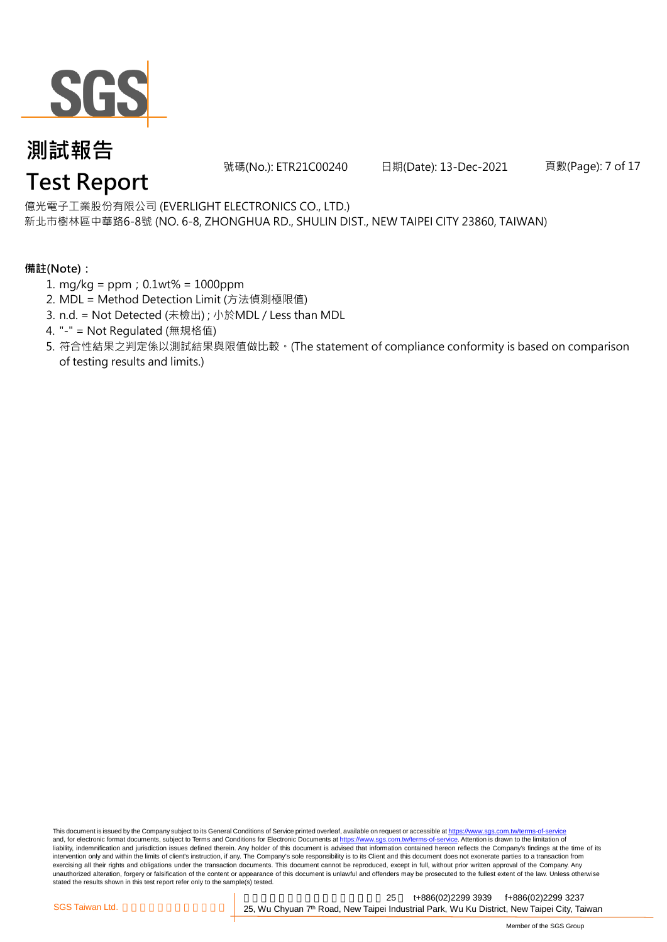

號碼(No.): ETR21C00240 日期(Date): 13-Dec-2021 頁數(Page): 7 of 17

億光電子工業股份有限公司 (EVERLIGHT ELECTRONICS CO., LTD.)

新北市樹林區中華路6-8號 (NO. 6-8, ZHONGHUA RD., SHULIN DIST., NEW TAIPEI CITY 23860, TAIWAN)

#### **備註(Note):**

- 1. mg/kg = ppm;0.1wt% = 1000ppm
- 2. MDL = Method Detection Limit (方法偵測極限值)
- 3. n.d. = Not Detected (未檢出) ; 小於MDL / Less than MDL
- 4. "-" = Not Regulated (無規格值)
- 5. 符合性結果之判定係以測試結果與限值做比較。(The statement of compliance conformity is based on comparison of testing results and limits.)

This document is issued by the Company subject to its General Conditions of Service printed overleaf, available on request or accessible at https://www.sgs.com.tw/terms-of-service and, for electronic format documents, subject to Terms and Conditions for Electronic Documents at https://www.sgs.com.tw/terms-of-service. Attention is drawn to the limitation of liability, indemnification and jurisdiction issues defined therein. Any holder of this document is advised that information contained hereon reflects the Company's findings at the time of its intervention only and within the limits of client's instruction, if any. The Company's sole responsibility is to its Client and this document does not exonerate parties to a transaction from exercising all their rights and obligations under the transaction documents. This document cannot be reproduced, except in full, without prior written approval of the Company. Any<br>unauthorized alteration, forgery or falsif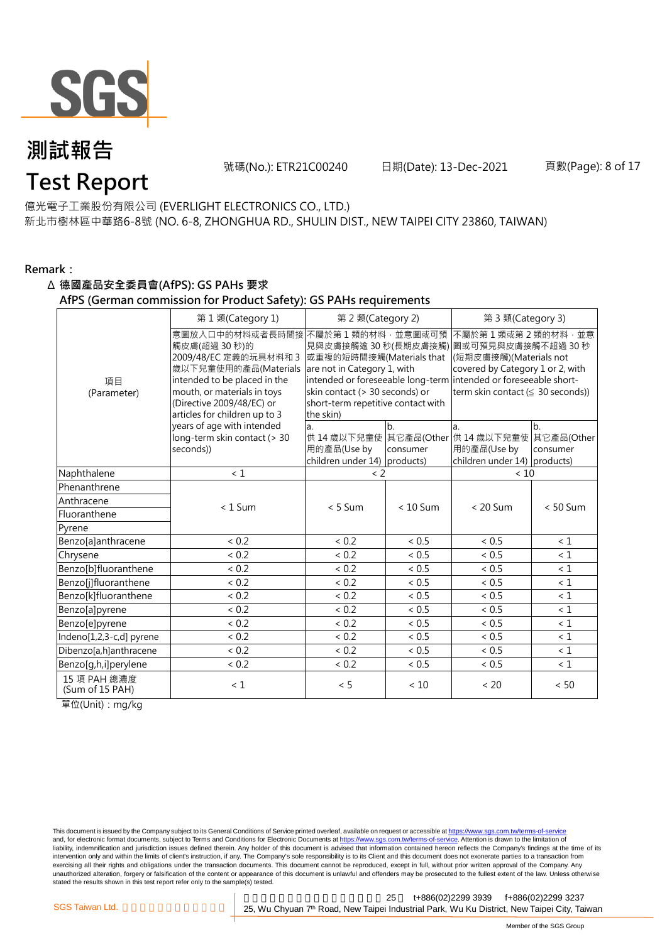

號碼(No.): ETR21C00240 日期(Date): 13-Dec-2021 頁數(Page): 8 of 17

#### 億光電子工業股份有限公司 (EVERLIGHT ELECTRONICS CO., LTD.)

新北市樹林區中華路6-8號 (NO. 6-8, ZHONGHUA RD., SHULIN DIST., NEW TAIPEI CITY 23860, TAIWAN)

#### **Remark:**

#### Δ **德國產品安全委員會(AfPS): GS PAHs 要求**

#### **AfPS (German commission for Product Safety): GS PAHs requirements**

|                                 | 第1類(Category 1)                                                                                                                                                                                               | 第 2 類(Category 2)                                                                                                                                                                        |                | 第 3 類(Category 3)                                                                                                                                                                                                    |                |  |
|---------------------------------|---------------------------------------------------------------------------------------------------------------------------------------------------------------------------------------------------------------|------------------------------------------------------------------------------------------------------------------------------------------------------------------------------------------|----------------|----------------------------------------------------------------------------------------------------------------------------------------------------------------------------------------------------------------------|----------------|--|
| 項目<br>(Parameter)               | 意圖放入口中的材料或者長時間接<br>觸皮膚(超過 30秒)的<br>2009/48/EC 定義的玩具材料和 3<br>歲以下兒童使用的產品(Materials<br>intended to be placed in the<br>mouth, or materials in toys<br>(Directive 2009/48/EC) or<br>articles for children up to 3 | 不屬於第1類的材料,並意圖或可預<br>見與皮膚接觸逾 30 秒(長期皮膚接觸)<br>或重複的短時間接觸(Materials that<br>are not in Category 1, with<br>skin contact (> 30 seconds) or<br>short-term repetitive contact with<br>the skin) |                | 不屬於第1類或第2類的材料,並意<br> 圖或可預見與皮膚接觸不超過 30 秒<br>(短期皮膚接觸)(Materials not<br>covered by Category 1 or 2, with<br>intended or foreseeable long-term intended or foreseeable short-<br>term skin contact $( \leq 30$ seconds)) |                |  |
|                                 | years of age with intended<br>long-term skin contact (> 30<br>seconds))                                                                                                                                       | a.<br>用的產品(Use by<br>children under 14) products)                                                                                                                                        | b.<br>consumer | a.<br>供 14 歳以下兒童使 其它產品(Other 供 14 歳以下兒童使 其它產品(Other<br>用的產品(Use by<br>children under 14) products)                                                                                                                   | b.<br>consumer |  |
| Naphthalene                     | < 1                                                                                                                                                                                                           | $\leq$ 2                                                                                                                                                                                 |                | < 10                                                                                                                                                                                                                 |                |  |
| Phenanthrene                    |                                                                                                                                                                                                               |                                                                                                                                                                                          |                |                                                                                                                                                                                                                      |                |  |
| Anthracene                      | $< 1$ Sum                                                                                                                                                                                                     | $< 5$ Sum                                                                                                                                                                                | $< 10$ Sum     | $< 20$ Sum                                                                                                                                                                                                           | $< 50$ Sum     |  |
| Fluoranthene                    |                                                                                                                                                                                                               |                                                                                                                                                                                          |                |                                                                                                                                                                                                                      |                |  |
| Pyrene                          |                                                                                                                                                                                                               |                                                                                                                                                                                          |                |                                                                                                                                                                                                                      |                |  |
| Benzo[a]anthracene              | < 0.2                                                                                                                                                                                                         | < 0.2                                                                                                                                                                                    | < 0.5          | < 0.5                                                                                                                                                                                                                | < 1            |  |
| Chrysene                        | < 0.2                                                                                                                                                                                                         | < 0.2                                                                                                                                                                                    | < 0.5          | < 0.5                                                                                                                                                                                                                | $\leq 1$       |  |
| Benzo[b]fluoranthene            | ${}< 0.2$                                                                                                                                                                                                     | < 0.2                                                                                                                                                                                    | < 0.5          | ${}< 0.5$                                                                                                                                                                                                            | $\leq 1$       |  |
| Benzo[j]fluoranthene            | < 0.2                                                                                                                                                                                                         | < 0.2                                                                                                                                                                                    | < 0.5          | ${}< 0.5$                                                                                                                                                                                                            | $\leq 1$       |  |
| Benzo[k]fluoranthene            | < 0.2                                                                                                                                                                                                         | < 0.2                                                                                                                                                                                    | < 0.5          | ${}< 0.5$                                                                                                                                                                                                            | $\leq 1$       |  |
| Benzo[a]pyrene                  | ${}< 0.2$                                                                                                                                                                                                     | < 0.2                                                                                                                                                                                    | ~< 0.5         | $< 0.5$                                                                                                                                                                                                              | $\leq 1$       |  |
| Benzo[e]pyrene                  | < 0.2                                                                                                                                                                                                         | < 0.2                                                                                                                                                                                    | < 0.5          | < 0.5                                                                                                                                                                                                                | $\leq 1$       |  |
| Indeno[1,2,3-c,d] pyrene        | < 0.2                                                                                                                                                                                                         | < 0.2                                                                                                                                                                                    | < 0.5          | < 0.5                                                                                                                                                                                                                | $\leq 1$       |  |
| Dibenzo[a,h]anthracene          | < 0.2                                                                                                                                                                                                         | < 0.2                                                                                                                                                                                    | < 0.5          | < 0.5                                                                                                                                                                                                                | $\leq 1$       |  |
| Benzo[g,h,i]perylene            | < 0.2                                                                                                                                                                                                         | < 0.2                                                                                                                                                                                    | ${}< 0.5$      | ${}< 0.5$                                                                                                                                                                                                            | $\leq 1$       |  |
| 15 項 PAH 總濃度<br>(Sum of 15 PAH) | < 1                                                                                                                                                                                                           | < 5                                                                                                                                                                                      | < 10           | < 20                                                                                                                                                                                                                 | < 50           |  |

單位(Unit):mg/kg

This document is issued by the Company subject to its General Conditions of Service printed overleaf, available on request or accessible at <u>https://www.sgs.com.tw/terms-of-service</u><br>and, for electronic format documents, su liability, indemnification and jurisdiction issues defined therein. Any holder of this document is advised that information contained hereon reflects the Company's findings at the time of its intervention only and within the limits of client's instruction, if any. The Company's sole responsibility is to its Client and this document does not exonerate parties to a transaction from exercising all their rights and obligations under the transaction documents. This document cannot be reproduced, except in full, without prior written approval of the Company. Any<br>unauthorized alteration, forgery or falsif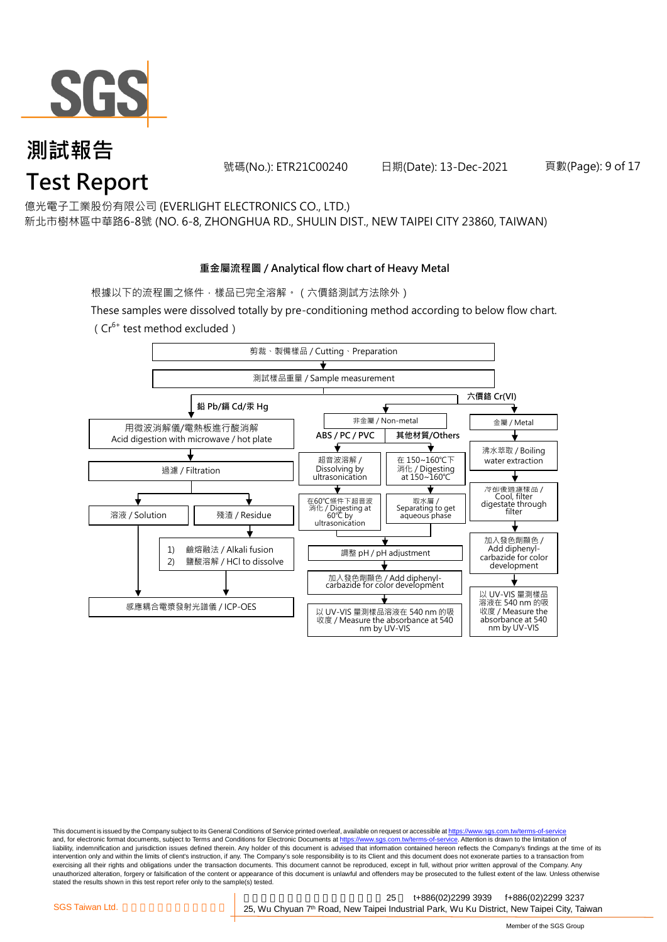

號碼(No.): ETR21C00240 日期(Date): 13-Dec-2021 頁數(Page): 9 of 17

億光電子工業股份有限公司 (EVERLIGHT ELECTRONICS CO., LTD.)

新北市樹林區中華路6-8號 (NO. 6-8, ZHONGHUA RD., SHULIN DIST., NEW TAIPEI CITY 23860, TAIWAN)

#### **重金屬流程圖 / Analytical flow chart of Heavy Metal**

根據以下的流程圖之條件,樣品已完全溶解。 (六價鉻測試方法除外)

These samples were dissolved totally by pre-conditioning method according to below flow chart. ( $Cr^{6+}$  test method excluded)



This document is issued by the Company subject to its General Conditions of Service printed overleaf, available on request or accessible at https://www.sgs.com.tw/terms-of-service and, for electronic format documents, subject to Terms and Conditions for Electronic Documents at https://www.sgs.com.tw/terms-of-service. Attention is drawn to the limitation of liability, indemnification and jurisdiction issues defined therein. Any holder of this document is advised that information contained hereon reflects the Company's findings at the time of its intervention only and within the limits of client's instruction, if any. The Company's sole responsibility is to its Client and this document does not exonerate parties to a transaction from exercising all their rights and obligations under the transaction documents. This document cannot be reproduced, except in full, without prior written approval of the Company. Any<br>unauthorized alteration, forgery or falsif stated the results shown in this test report refer only to the sample(s) tested.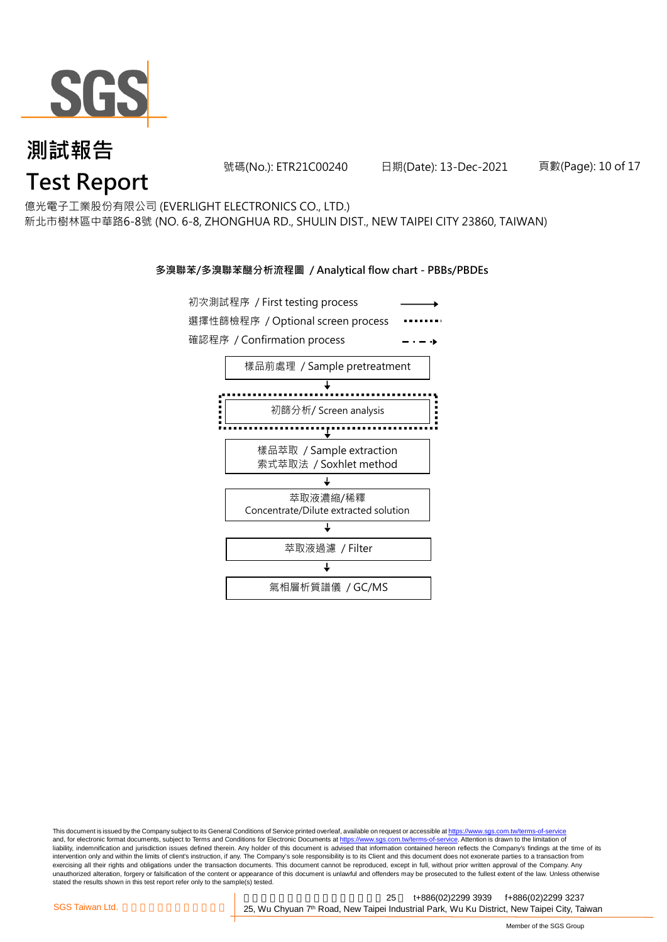

號碼(No.): ETR21C00240 日期(Date): 13-Dec-2021 頁數(Page): 10 of 17

億光電子工業股份有限公司 (EVERLIGHT ELECTRONICS CO., LTD.)

新北市樹林區中華路6-8號 (NO. 6-8, ZHONGHUA RD., SHULIN DIST., NEW TAIPEI CITY 23860, TAIWAN)

#### **多溴聯苯/多溴聯苯醚分析流程圖 / Analytical flow chart - PBBs/PBDEs**



This document is issued by the Company subject to its General Conditions of Service printed overleaf, available on request or accessible at https://www.sgs.com.tw/terms-of-service and, for electronic format documents, subject to Terms and Conditions for Electronic Documents at https://www.sgs.com.tw/terms-of-service. Attention is drawn to the limitation of liability, indemnification and jurisdiction issues defined therein. Any holder of this document is advised that information contained hereon reflects the Company's findings at the time of its intervention only and within the limits of client's instruction, if any. The Company's sole responsibility is to its Client and this document does not exonerate parties to a transaction from exercising all their rights and obligations under the transaction documents. This document cannot be reproduced, except in full, without prior written approval of the Company. Any<br>unauthorized alteration, forgery or falsif stated the results shown in this test report refer only to the sample(s) tested.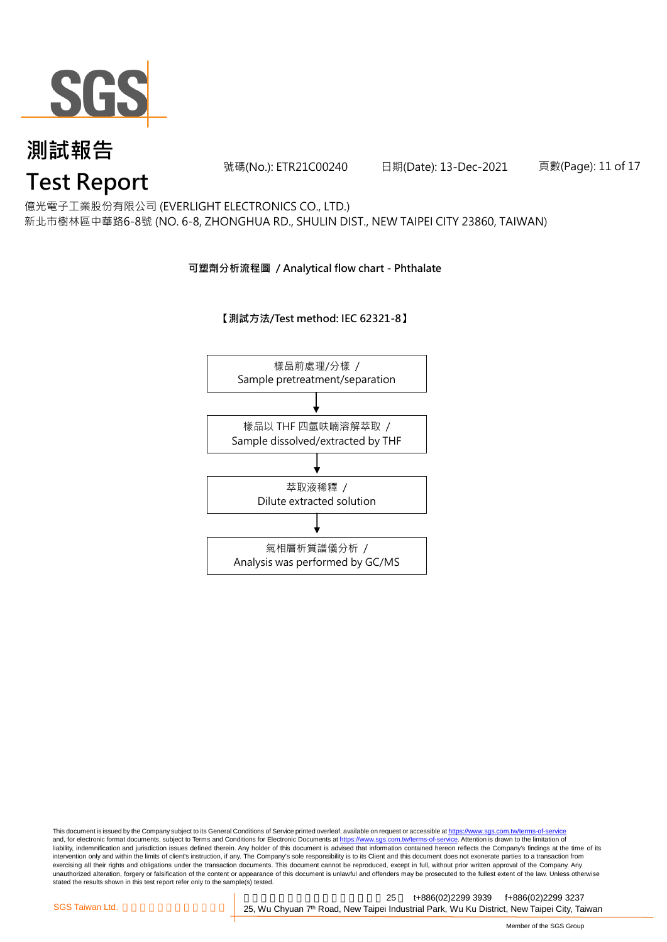

號碼(No.): ETR21C00240 日期(Date): 13-Dec-2021 頁數(Page): 11 of 17

億光電子工業股份有限公司 (EVERLIGHT ELECTRONICS CO., LTD.)

新北市樹林區中華路6-8號 (NO. 6-8, ZHONGHUA RD., SHULIN DIST., NEW TAIPEI CITY 23860, TAIWAN)

#### **可塑劑分析流程圖 / Analytical flow chart - Phthalate**

**【測試方法/Test method: IEC 62321-8】**



This document is issued by the Company subject to its General Conditions of Service printed overleaf, available on request or accessible at <u>https://www.sgs.com.tw/terms-of-service</u><br>and, for electronic format documents, su liability, indemnification and jurisdiction issues defined therein. Any holder of this document is advised that information contained hereon reflects the Company's findings at the time of its intervention only and within the limits of client's instruction, if any. The Company's sole responsibility is to its Client and this document does not exonerate parties to a transaction from exercising all their rights and obligations under the transaction documents. This document cannot be reproduced, except in full, without prior written approval of the Company. Any<br>unauthorized alteration, forgery or falsif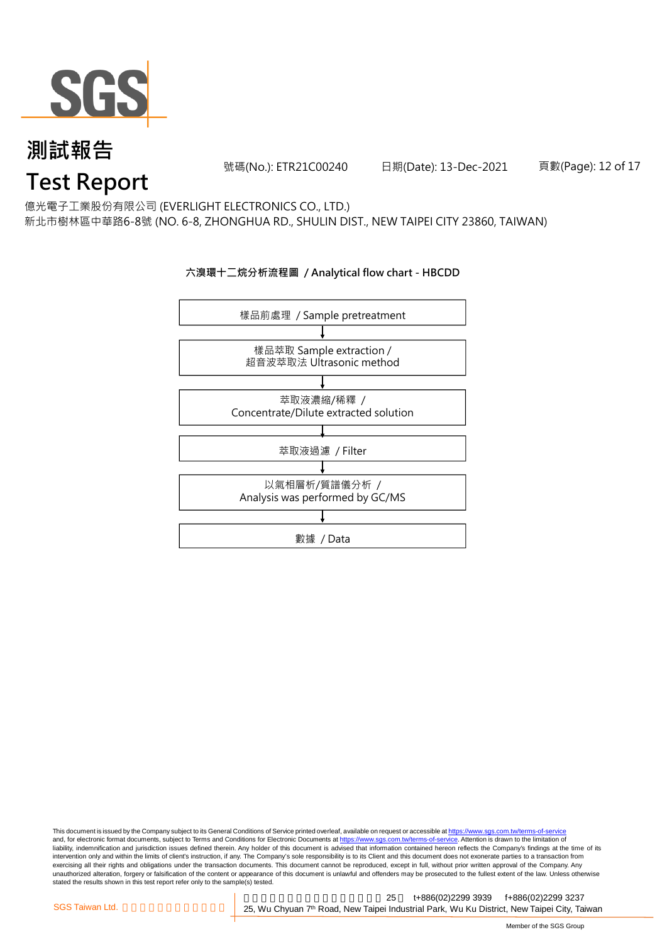

號碼(No.): ETR21C00240 日期(Date): 13-Dec-2021 頁數(Page): 12 of 17

億光電子工業股份有限公司 (EVERLIGHT ELECTRONICS CO., LTD.)

新北市樹林區中華路6-8號 (NO. 6-8, ZHONGHUA RD., SHULIN DIST., NEW TAIPEI CITY 23860, TAIWAN)

#### **六溴環十二烷分析流程圖 / Analytical flow chart - HBCDD**



This document is issued by the Company subject to its General Conditions of Service printed overleaf, available on request or accessible at <u>https://www.sgs.com.tw/terms-of-service</u><br>and, for electronic format documents, su liability, indemnification and jurisdiction issues defined therein. Any holder of this document is advised that information contained hereon reflects the Company's findings at the time of its intervention only and within the limits of client's instruction, if any. The Company's sole responsibility is to its Client and this document does not exonerate parties to a transaction from exercising all their rights and obligations under the transaction documents. This document cannot be reproduced, except in full, without prior written approval of the Company. Any<br>unauthorized alteration, forgery or falsif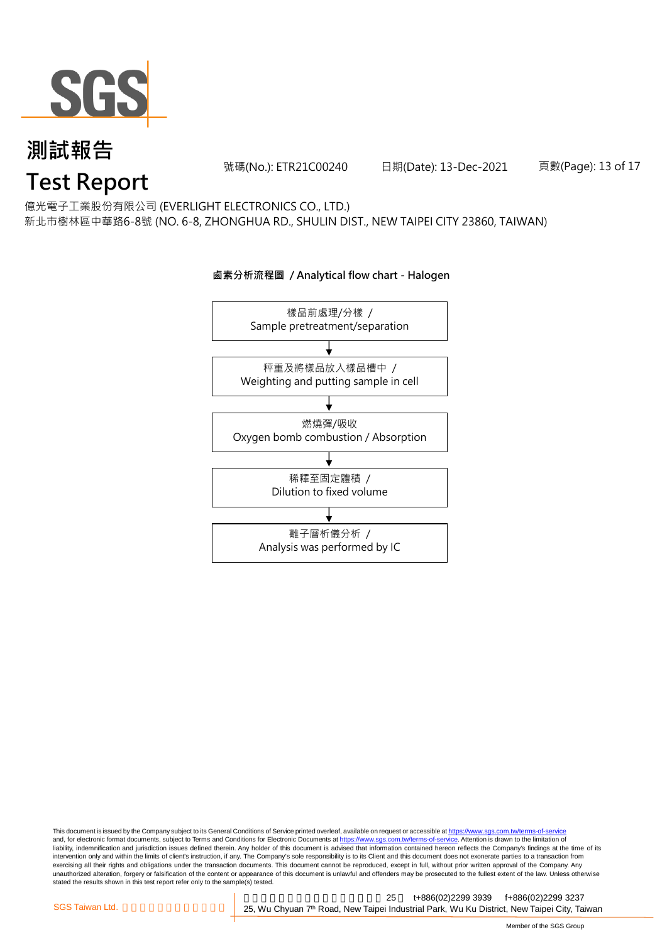

號碼(No.): ETR21C00240 日期(Date): 13-Dec-2021 頁數(Page): 13 of 17

億光電子工業股份有限公司 (EVERLIGHT ELECTRONICS CO., LTD.)

新北市樹林區中華路6-8號 (NO. 6-8, ZHONGHUA RD., SHULIN DIST., NEW TAIPEI CITY 23860, TAIWAN)

### 樣品前處理/分樣 / Sample pretreatment/separation 秤重及將樣品放入樣品槽中 / Weighting and putting sample in cell 燃燒彈/吸收 Oxygen bomb combustion / Absorption 離子層析儀分析 / Analysis was performed by IC 稀釋至固定體積 / Dilution to fixed volume

#### **鹵素分析流程圖 / Analytical flow chart - Halogen**

This document is issued by the Company subject to its General Conditions of Service printed overleaf, available on request or accessible at <u>https://www.sgs.com.tw/terms-of-service</u><br>and, for electronic format documents, su liability, indemnification and jurisdiction issues defined therein. Any holder of this document is advised that information contained hereon reflects the Company's findings at the time of its intervention only and within the limits of client's instruction, if any. The Company's sole responsibility is to its Client and this document does not exonerate parties to a transaction from exercising all their rights and obligations under the transaction documents. This document cannot be reproduced, except in full, without prior written approval of the Company. Any<br>unauthorized alteration, forgery or falsif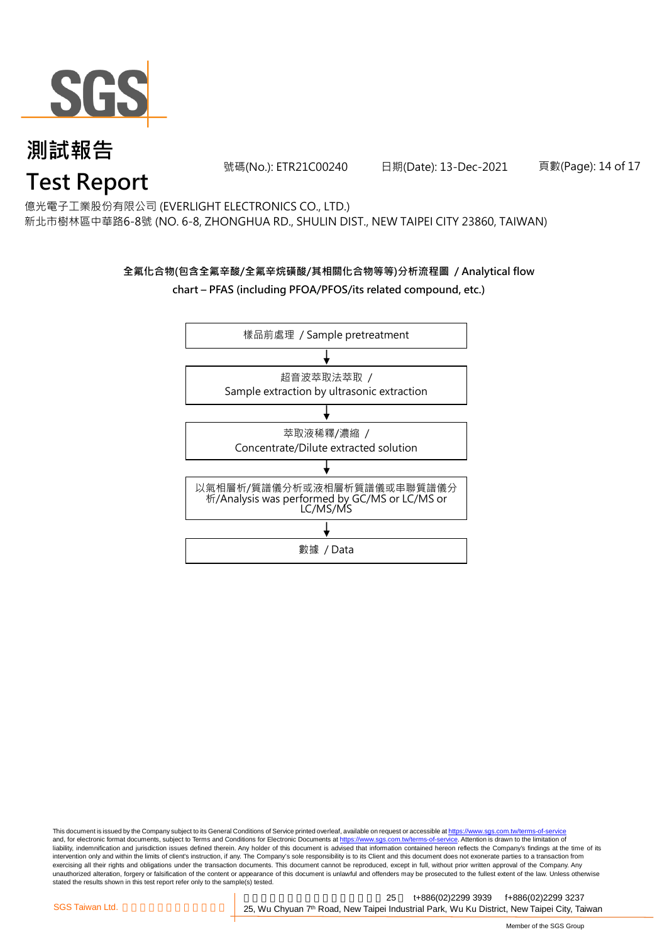

號碼(No.): ETR21C00240 日期(Date): 13-Dec-2021 頁數(Page): 14 of 17

億光電子工業股份有限公司 (EVERLIGHT ELECTRONICS CO., LTD.) 新北市樹林區中華路6-8號 (NO. 6-8, ZHONGHUA RD., SHULIN DIST., NEW TAIPEI CITY 23860, TAIWAN)

### **全氟化合物(包含全氟辛酸/全氟辛烷磺酸/其相關化合物等等)分析流程圖 / Analytical flow chart – PFAS (including PFOA/PFOS/its related compound, etc.)**



This document is issued by the Company subject to its General Conditions of Service printed overleaf, available on request or accessible at https://www.sgs.com.tw/terms-of-service and, for electronic format documents, subject to Terms and Conditions for Electronic Documents at https://www.sgs.com.tw/terms-of-service. Attention is drawn to the limitation of liability, indemnification and jurisdiction issues defined therein. Any holder of this document is advised that information contained hereon reflects the Company's findings at the time of its intervention only and within the limits of client's instruction, if any. The Company's sole responsibility is to its Client and this document does not exonerate parties to a transaction from exercising all their rights and obligations under the transaction documents. This document cannot be reproduced, except in full, without prior written approval of the Company. Any<br>unauthorized alteration, forgery or falsif stated the results shown in this test report refer only to the sample(s) tested.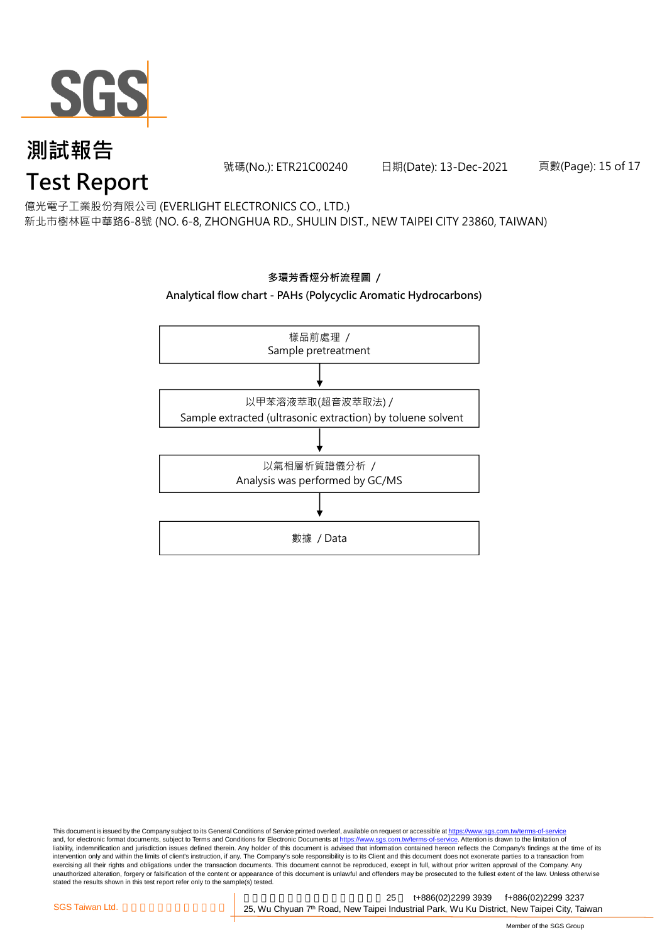

號碼(No.): ETR21C00240 日期(Date): 13-Dec-2021 頁數(Page): 15 of 17

億光電子工業股份有限公司 (EVERLIGHT ELECTRONICS CO., LTD.)

新北市樹林區中華路6-8號 (NO. 6-8, ZHONGHUA RD., SHULIN DIST., NEW TAIPEI CITY 23860, TAIWAN)



This document is issued by the Company subject to its General Conditions of Service printed overleaf, available on request or accessible at <u>https://www.sgs.com.tw/terms-of-service</u><br>and, for electronic format documents, su liability, indemnification and jurisdiction issues defined therein. Any holder of this document is advised that information contained hereon reflects the Company's findings at the time of its intervention only and within the limits of client's instruction, if any. The Company's sole responsibility is to its Client and this document does not exonerate parties to a transaction from exercising all their rights and obligations under the transaction documents. This document cannot be reproduced, except in full, without prior written approval of the Company. Any<br>unauthorized alteration, forgery or falsif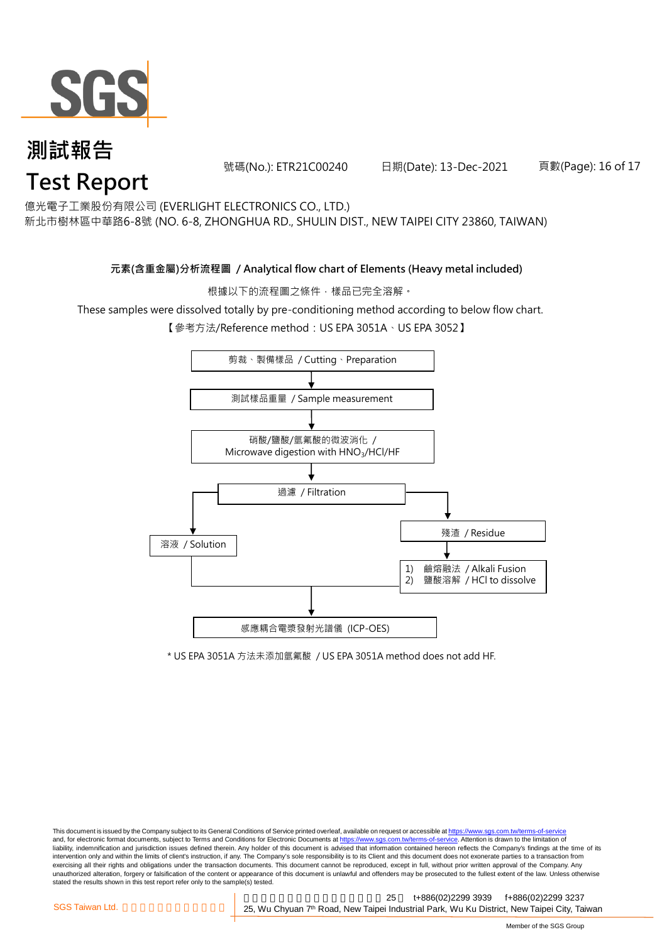

號碼(No.): ETR21C00240 日期(Date): 13-Dec-2021 頁數(Page): 16 of 17

億光電子工業股份有限公司 (EVERLIGHT ELECTRONICS CO., LTD.)

新北市樹林區中華路6-8號 (NO. 6-8, ZHONGHUA RD., SHULIN DIST., NEW TAIPEI CITY 23860, TAIWAN)

**元素(含重金屬)分析流程圖 / Analytical flow chart of Elements (Heavy metal included)**

根據以下的流程圖之條件,樣品已完全溶解。

These samples were dissolved totally by pre-conditioning method according to below flow chart.

【參考方法/Reference method:US EPA 3051A、US EPA 3052】



\* US EPA 3051A 方法未添加氫氟酸 / US EPA 3051A method does not add HF.

This document is issued by the Company subject to its General Conditions of Service printed overleaf, available on request or accessible at https://www.sgs.com.tw/terms-of-service and, for electronic format documents, subject to Terms and Conditions for Electronic Documents at https://www.sgs.com.tw/terms-of-service. Attention is drawn to the limitation of liability, indemnification and jurisdiction issues defined therein. Any holder of this document is advised that information contained hereon reflects the Company's findings at the time of its intervention only and within the limits of client's instruction, if any. The Company's sole responsibility is to its Client and this document does not exonerate parties to a transaction from exercising all their rights and obligations under the transaction documents. This document cannot be reproduced, except in full, without prior written approval of the Company. Any<br>unauthorized alteration, forgery or falsif stated the results shown in this test report refer only to the sample(s) tested.